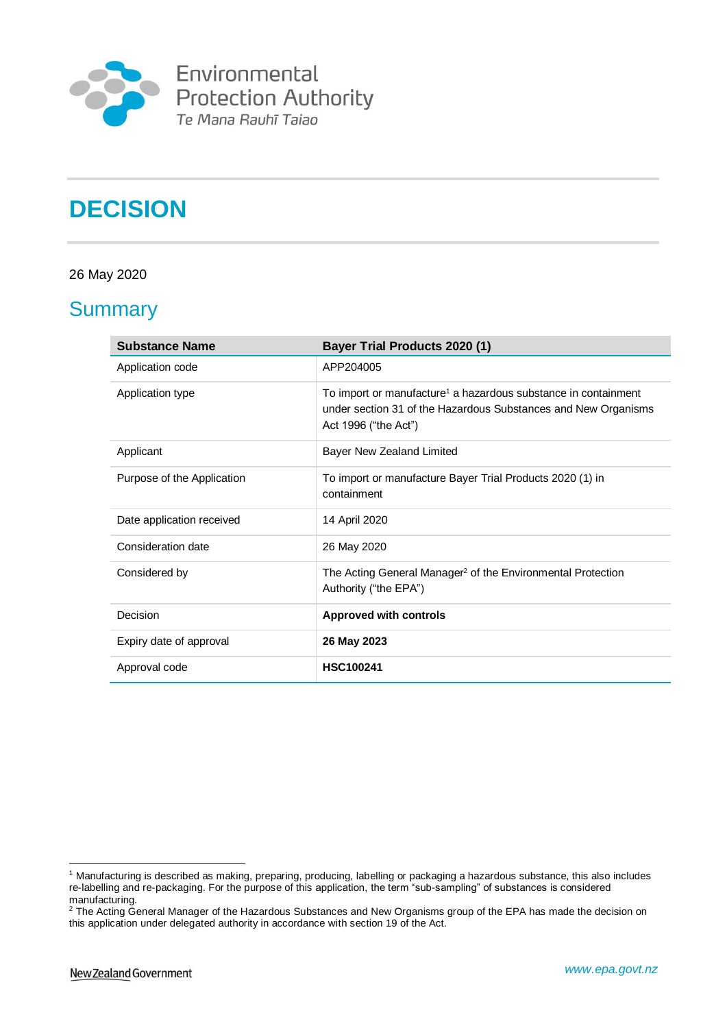

**Environmental<br>Protection Authority**<br>Te Mana Rauhī Taiao

# **DECISION**

#### 26 May 2020

### **Summary**

| <b>Substance Name</b>      | <b>Bayer Trial Products 2020 (1)</b>                                                                                                                                 |
|----------------------------|----------------------------------------------------------------------------------------------------------------------------------------------------------------------|
| Application code           | APP204005                                                                                                                                                            |
| Application type           | To import or manufacture <sup>1</sup> a hazardous substance in containment<br>under section 31 of the Hazardous Substances and New Organisms<br>Act 1996 ("the Act") |
| Applicant                  | Bayer New Zealand Limited                                                                                                                                            |
| Purpose of the Application | To import or manufacture Bayer Trial Products 2020 (1) in<br>containment                                                                                             |
| Date application received  | 14 April 2020                                                                                                                                                        |
| Consideration date         | 26 May 2020                                                                                                                                                          |
| Considered by              | The Acting General Manager <sup>2</sup> of the Environmental Protection<br>Authority ("the EPA")                                                                     |
| Decision                   | <b>Approved with controls</b>                                                                                                                                        |
| Expiry date of approval    | 26 May 2023                                                                                                                                                          |
| Approval code              | <b>HSC100241</b>                                                                                                                                                     |

<sup>&</sup>lt;u>.</u> <sup>1</sup> Manufacturing is described as making, preparing, producing, labelling or packaging a hazardous substance, this also includes re-labelling and re-packaging. For the purpose of this application, the term "sub-sampling" of substances is considered manufacturing.

<sup>&</sup>lt;sup>2</sup> The Acting General Manager of the Hazardous Substances and New Organisms group of the EPA has made the decision on this application under delegated authority in accordance with section 19 of the Act.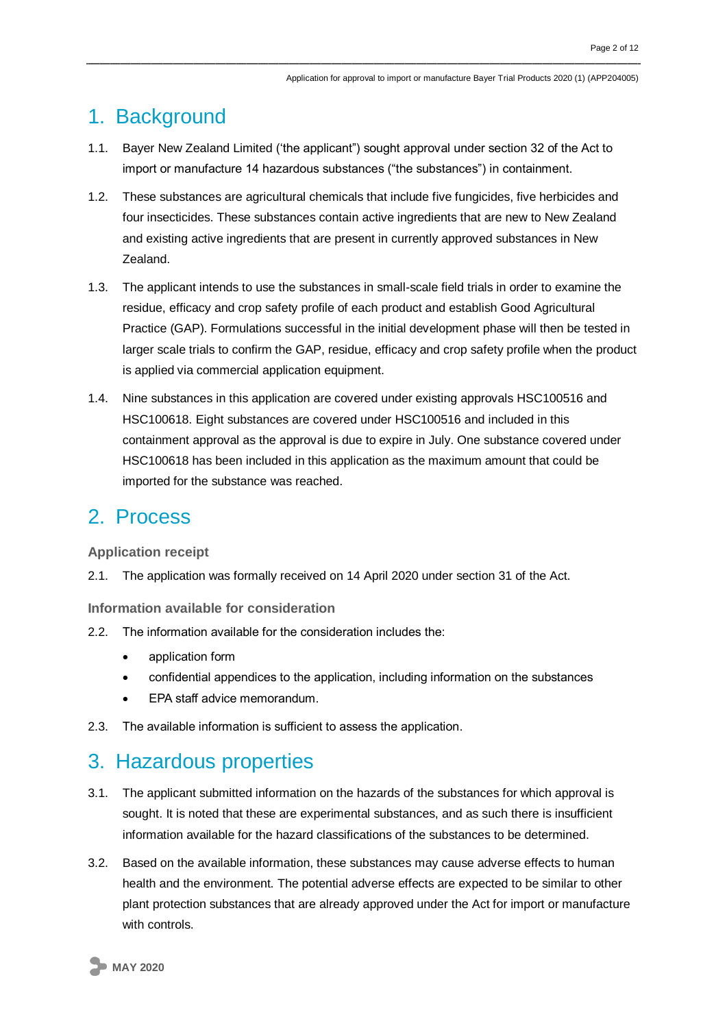### 1. Background

- 1.1. Bayer New Zealand Limited ('the applicant") sought approval under section 32 of the Act to import or manufacture 14 hazardous substances ("the substances") in containment.
- 1.2. These substances are agricultural chemicals that include five fungicides, five herbicides and four insecticides. These substances contain active ingredients that are new to New Zealand and existing active ingredients that are present in currently approved substances in New Zealand.
- 1.3. The applicant intends to use the substances in small-scale field trials in order to examine the residue, efficacy and crop safety profile of each product and establish Good Agricultural Practice (GAP). Formulations successful in the initial development phase will then be tested in larger scale trials to confirm the GAP, residue, efficacy and crop safety profile when the product is applied via commercial application equipment.
- 1.4. Nine substances in this application are covered under existing approvals HSC100516 and HSC100618. Eight substances are covered under HSC100516 and included in this containment approval as the approval is due to expire in July. One substance covered under HSC100618 has been included in this application as the maximum amount that could be imported for the substance was reached.

### 2. Process

#### **Application receipt**

2.1. The application was formally received on 14 April 2020 under section 31 of the Act.

**Information available for consideration**

- 2.2. The information available for the consideration includes the:
	- application form
	- confidential appendices to the application, including information on the substances
	- EPA staff advice memorandum.
- 2.3. The available information is sufficient to assess the application.

### 3. Hazardous properties

- 3.1. The applicant submitted information on the hazards of the substances for which approval is sought. It is noted that these are experimental substances, and as such there is insufficient information available for the hazard classifications of the substances to be determined.
- 3.2. Based on the available information, these substances may cause adverse effects to human health and the environment. The potential adverse effects are expected to be similar to other plant protection substances that are already approved under the Act for import or manufacture with controls.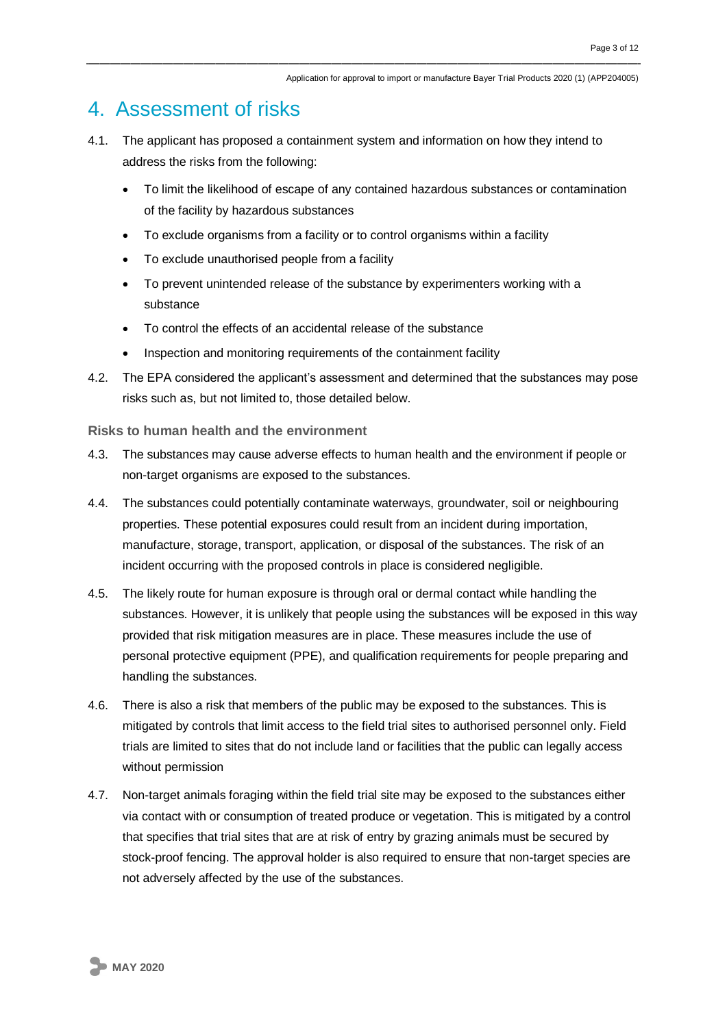### 4. Assessment of risks

- 4.1. The applicant has proposed a containment system and information on how they intend to address the risks from the following:
	- To limit the likelihood of escape of any contained hazardous substances or contamination of the facility by hazardous substances
	- To exclude organisms from a facility or to control organisms within a facility
	- To exclude unauthorised people from a facility
	- To prevent unintended release of the substance by experimenters working with a substance
	- To control the effects of an accidental release of the substance
	- Inspection and monitoring requirements of the containment facility
- 4.2. The EPA considered the applicant's assessment and determined that the substances may pose risks such as, but not limited to, those detailed below.

**Risks to human health and the environment**

- 4.3. The substances may cause adverse effects to human health and the environment if people or non-target organisms are exposed to the substances.
- 4.4. The substances could potentially contaminate waterways, groundwater, soil or neighbouring properties. These potential exposures could result from an incident during importation, manufacture, storage, transport, application, or disposal of the substances. The risk of an incident occurring with the proposed controls in place is considered negligible.
- 4.5. The likely route for human exposure is through oral or dermal contact while handling the substances. However, it is unlikely that people using the substances will be exposed in this way provided that risk mitigation measures are in place. These measures include the use of personal protective equipment (PPE), and qualification requirements for people preparing and handling the substances.
- 4.6. There is also a risk that members of the public may be exposed to the substances. This is mitigated by controls that limit access to the field trial sites to authorised personnel only. Field trials are limited to sites that do not include land or facilities that the public can legally access without permission
- 4.7. Non-target animals foraging within the field trial site may be exposed to the substances either via contact with or consumption of treated produce or vegetation. This is mitigated by a control that specifies that trial sites that are at risk of entry by grazing animals must be secured by stock-proof fencing. The approval holder is also required to ensure that non-target species are not adversely affected by the use of the substances.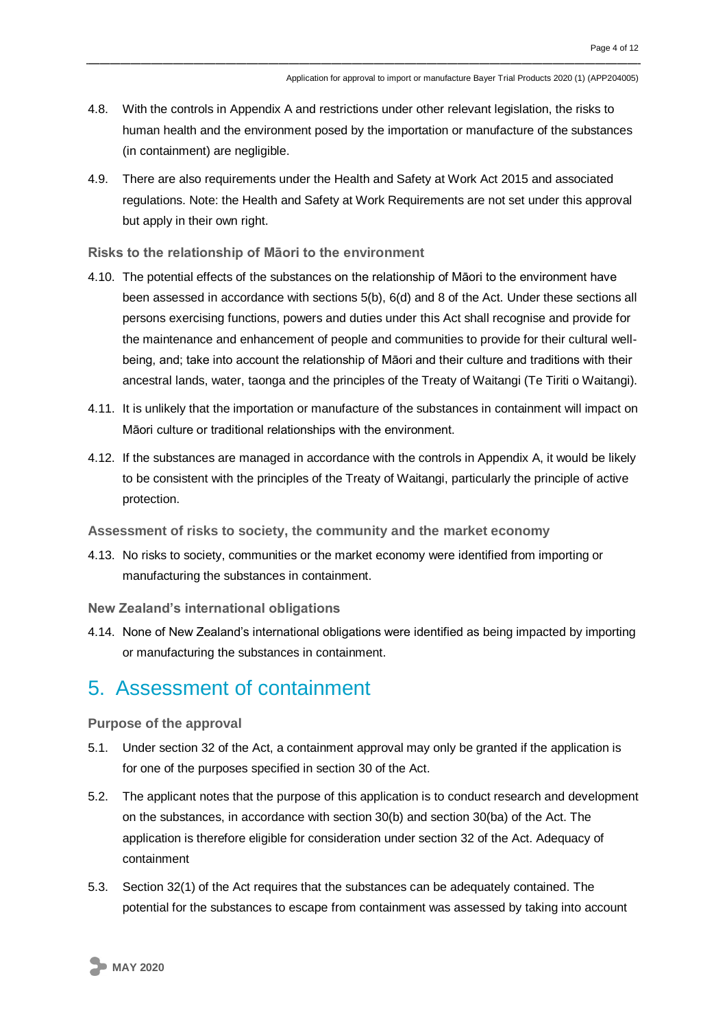- 4.8. With the controls in Appendix A and restrictions under other relevant legislation, the risks to human health and the environment posed by the importation or manufacture of the substances (in containment) are negligible.
- 4.9. There are also requirements under the Health and Safety at Work Act 2015 and associated regulations. Note: the Health and Safety at Work Requirements are not set under this approval but apply in their own right.

**Risks to the relationship of Māori to the environment**

- 4.10. The potential effects of the substances on the relationship of Māori to the environment have been assessed in accordance with sections 5(b), 6(d) and 8 of the Act. Under these sections all persons exercising functions, powers and duties under this Act shall recognise and provide for the maintenance and enhancement of people and communities to provide for their cultural wellbeing, and; take into account the relationship of Māori and their culture and traditions with their ancestral lands, water, taonga and the principles of the Treaty of Waitangi (Te Tiriti o Waitangi).
- 4.11. It is unlikely that the importation or manufacture of the substances in containment will impact on Māori culture or traditional relationships with the environment.
- 4.12. If the substances are managed in accordance with the controls in Appendix A, it would be likely to be consistent with the principles of the Treaty of Waitangi, particularly the principle of active protection.

**Assessment of risks to society, the community and the market economy**

- 4.13. No risks to society, communities or the market economy were identified from importing or manufacturing the substances in containment.
- **New Zealand's international obligations**
- 4.14. None of New Zealand's international obligations were identified as being impacted by importing or manufacturing the substances in containment.

### 5. Assessment of containment

**Purpose of the approval**

- 5.1. Under section 32 of the Act, a containment approval may only be granted if the application is for one of the purposes specified in section 30 of the Act.
- 5.2. The applicant notes that the purpose of this application is to conduct research and development on the substances, in accordance with section 30(b) and section 30(ba) of the Act. The application is therefore eligible for consideration under section 32 of the Act. Adequacy of containment
- 5.3. Section 32(1) of the Act requires that the substances can be adequately contained. The potential for the substances to escape from containment was assessed by taking into account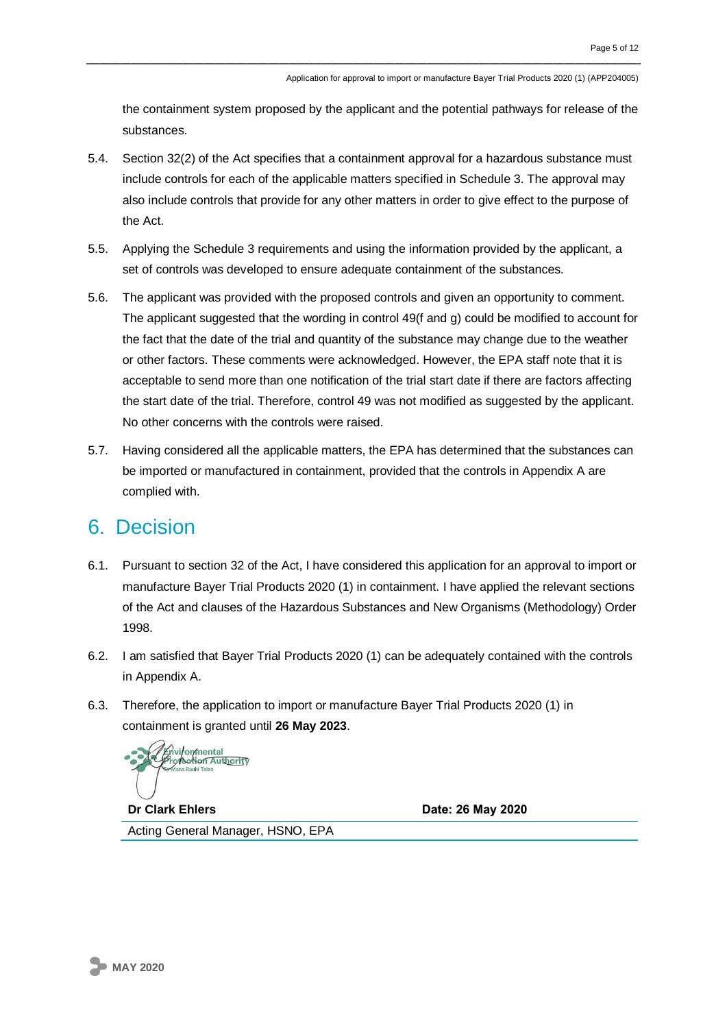the containment system proposed by the applicant and the potential pathways for release of the substances.

- 5.4. Section 32(2) of the Act specifies that a containment approval for a hazardous substance must include controls for each of the applicable matters specified in Schedule 3. The approval may also include controls that provide for any other matters in order to give effect to the purpose of the Act.
- 5.5. Applying the Schedule 3 requirements and using the information provided by the applicant, a set of controls was developed to ensure adequate containment of the substances.
- 5.6. The applicant was provided with the proposed controls and given an opportunity to comment. The applicant suggested that the wording in control 49(f and g) could be modified to account for the fact that the date of the trial and quantity of the substance may change due to the weather or other factors. These comments were acknowledged. However, the EPA staff note that it is acceptable to send more than one notification of the trial start date if there are factors affecting the start date of the trial. Therefore, control 49 was not modified as suggested by the applicant. No other concerns with the controls were raised.
- 5.7. Having considered all the applicable matters, the EPA has determined that the substances can be imported or manufactured in containment, provided that the controls in Appendix A are complied with.

### 6. Decision

- 6.1. Pursuant to section 32 of the Act, I have considered this application for an approval to import or manufacture Bayer Trial Products 2020 (1) in containment. I have applied the relevant sections of the Act and clauses of the Hazardous Substances and New Organisms (Methodology) Order 1998.
- 6.2. I am satisfied that Bayer Trial Products 2020 (1) can be adequately contained with the controls in Appendix A.
- 6.3. Therefore, the application to import or manufacture Bayer Trial Products 2020 (1) in containment is granted until **26 May 2023**.

.<br>Avi∤on⁄mental<br>^ro⁄lection Aut<u>hori</u>ty

**Dr Clark Ehlers Date: 26 May 2020**

Acting General Manager, HSNO, EPA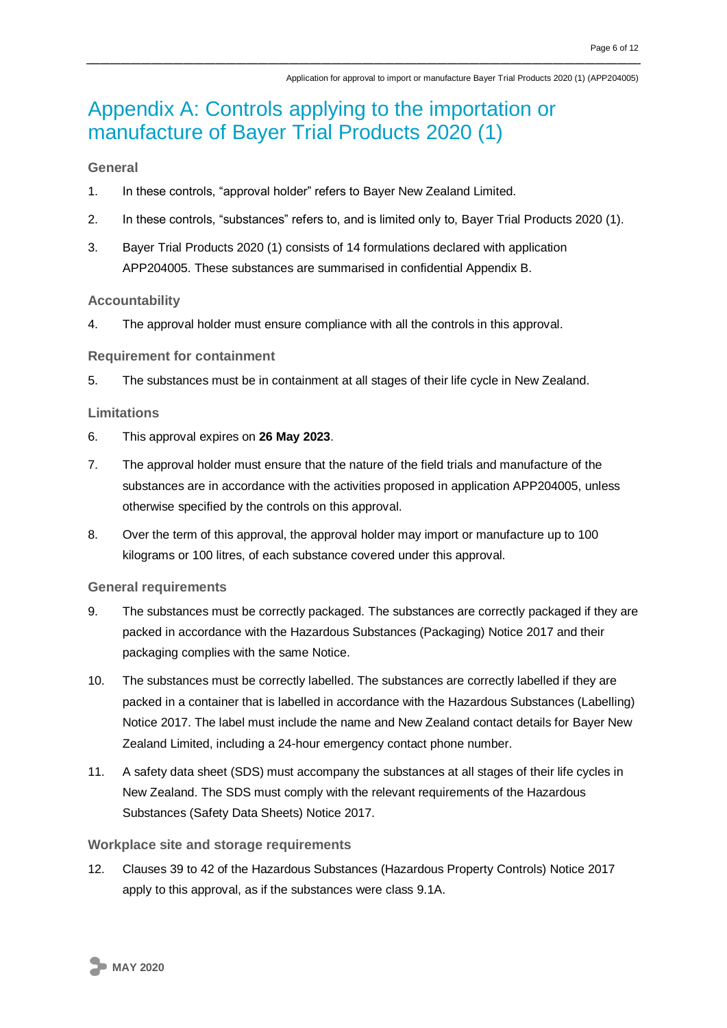## Appendix A: Controls applying to the importation or manufacture of Bayer Trial Products 2020 (1)

#### **General**

- 1. In these controls, "approval holder" refers to Bayer New Zealand Limited.
- 2. In these controls, "substances" refers to, and is limited only to, Bayer Trial Products 2020 (1).
- 3. Bayer Trial Products 2020 (1) consists of 14 formulations declared with application APP204005. These substances are summarised in confidential Appendix B.

#### **Accountability**

4. The approval holder must ensure compliance with all the controls in this approval.

#### **Requirement for containment**

5. The substances must be in containment at all stages of their life cycle in New Zealand.

#### **Limitations**

- 6. This approval expires on **26 May 2023**.
- 7. The approval holder must ensure that the nature of the field trials and manufacture of the substances are in accordance with the activities proposed in application APP204005, unless otherwise specified by the controls on this approval.
- 8. Over the term of this approval, the approval holder may import or manufacture up to 100 kilograms or 100 litres, of each substance covered under this approval.

#### **General requirements**

- 9. The substances must be correctly packaged. The substances are correctly packaged if they are packed in accordance with the Hazardous Substances (Packaging) Notice 2017 and their packaging complies with the same Notice.
- 10. The substances must be correctly labelled. The substances are correctly labelled if they are packed in a container that is labelled in accordance with the Hazardous Substances (Labelling) Notice 2017. The label must include the name and New Zealand contact details for Bayer New Zealand Limited, including a 24-hour emergency contact phone number.
- 11. A safety data sheet (SDS) must accompany the substances at all stages of their life cycles in New Zealand. The SDS must comply with the relevant requirements of the Hazardous Substances (Safety Data Sheets) Notice 2017.

#### **Workplace site and storage requirements**

12. Clauses 39 to 42 of the Hazardous Substances (Hazardous Property Controls) Notice 2017 apply to this approval, as if the substances were class 9.1A.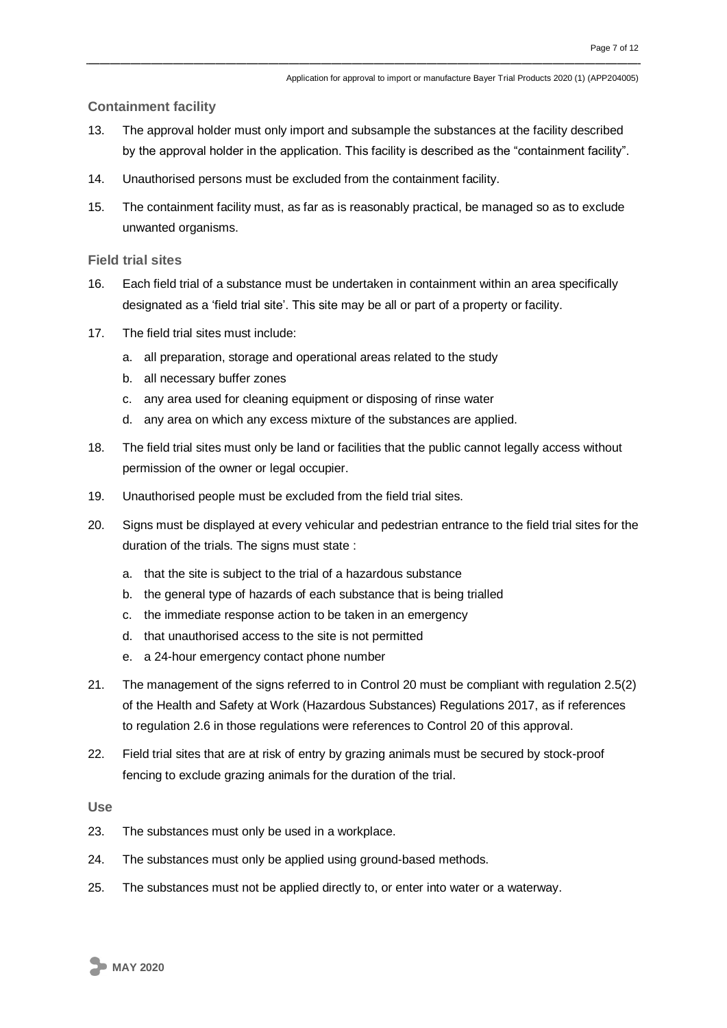#### **Containment facility**

- 13. The approval holder must only import and subsample the substances at the facility described by the approval holder in the application. This facility is described as the "containment facility".
- 14. Unauthorised persons must be excluded from the containment facility.
- 15. The containment facility must, as far as is reasonably practical, be managed so as to exclude unwanted organisms.

#### **Field trial sites**

- 16. Each field trial of a substance must be undertaken in containment within an area specifically designated as a 'field trial site'. This site may be all or part of a property or facility.
- 17. The field trial sites must include:
	- a. all preparation, storage and operational areas related to the study
	- b. all necessary buffer zones
	- c. any area used for cleaning equipment or disposing of rinse water
	- d. any area on which any excess mixture of the substances are applied.
- 18. The field trial sites must only be land or facilities that the public cannot legally access without permission of the owner or legal occupier.
- 19. Unauthorised people must be excluded from the field trial sites.
- 20. Signs must be displayed at every vehicular and pedestrian entrance to the field trial sites for the duration of the trials. The signs must state :
	- a. that the site is subject to the trial of a hazardous substance
	- b. the general type of hazards of each substance that is being trialled
	- c. the immediate response action to be taken in an emergency
	- d. that unauthorised access to the site is not permitted
	- e. a 24-hour emergency contact phone number
- 21. The management of the signs referred to in Control 20 must be compliant with regulation 2.5(2) of the Health and Safety at Work (Hazardous Substances) Regulations 2017, as if references to regulation 2.6 in those regulations were references to Control 20 of this approval.
- 22. Field trial sites that are at risk of entry by grazing animals must be secured by stock-proof fencing to exclude grazing animals for the duration of the trial.

#### **Use**

- 23. The substances must only be used in a workplace.
- 24. The substances must only be applied using ground-based methods.
- 25. The substances must not be applied directly to, or enter into water or a waterway.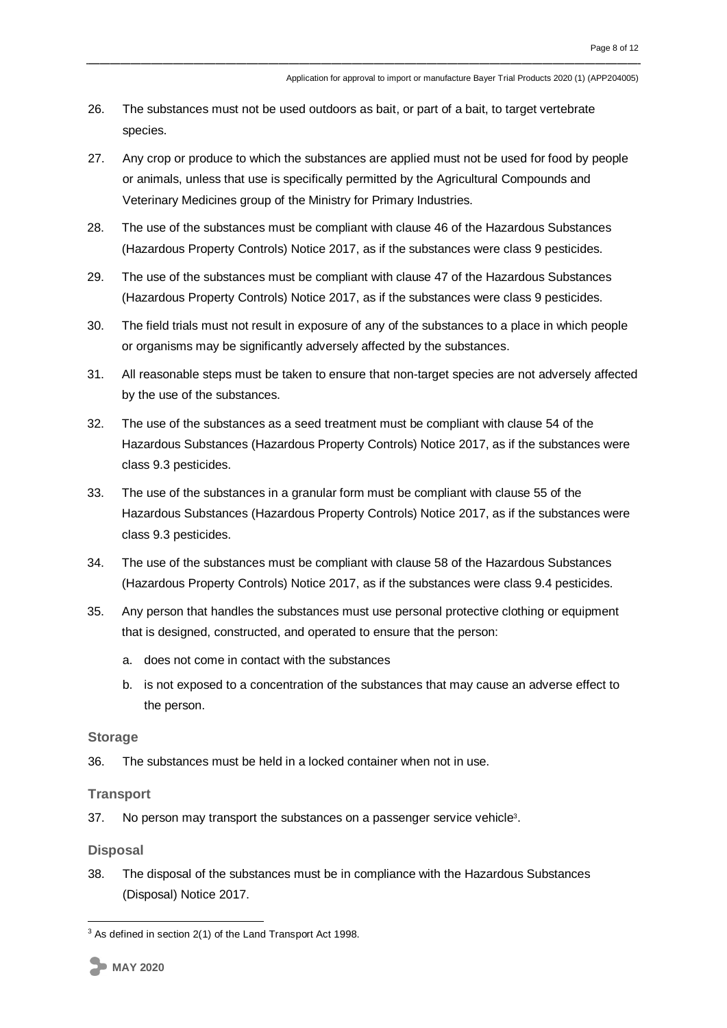- 26. The substances must not be used outdoors as bait, or part of a bait, to target vertebrate species.
- 27. Any crop or produce to which the substances are applied must not be used for food by people or animals, unless that use is specifically permitted by the Agricultural Compounds and Veterinary Medicines group of the Ministry for Primary Industries.
- 28. The use of the substances must be compliant with clause 46 of the Hazardous Substances (Hazardous Property Controls) Notice 2017, as if the substances were class 9 pesticides.
- 29. The use of the substances must be compliant with clause 47 of the Hazardous Substances (Hazardous Property Controls) Notice 2017, as if the substances were class 9 pesticides.
- 30. The field trials must not result in exposure of any of the substances to a place in which people or organisms may be significantly adversely affected by the substances.
- 31. All reasonable steps must be taken to ensure that non-target species are not adversely affected by the use of the substances.
- 32. The use of the substances as a seed treatment must be compliant with clause 54 of the Hazardous Substances (Hazardous Property Controls) Notice 2017, as if the substances were class 9.3 pesticides.
- 33. The use of the substances in a granular form must be compliant with clause 55 of the Hazardous Substances (Hazardous Property Controls) Notice 2017, as if the substances were class 9.3 pesticides.
- 34. The use of the substances must be compliant with clause 58 of the Hazardous Substances (Hazardous Property Controls) Notice 2017, as if the substances were class 9.4 pesticides.
- 35. Any person that handles the substances must use personal protective clothing or equipment that is designed, constructed, and operated to ensure that the person:
	- a. does not come in contact with the substances
	- b. is not exposed to a concentration of the substances that may cause an adverse effect to the person.

#### **Storage**

36. The substances must be held in a locked container when not in use.

#### **Transport**

37. No person may transport the substances on a passenger service vehicle<sup>3</sup>.

#### **Disposal**

38. The disposal of the substances must be in compliance with the Hazardous Substances (Disposal) Notice 2017.

<sup>1</sup> <sup>3</sup> As defined in section 2(1) of the Land Transport Act 1998.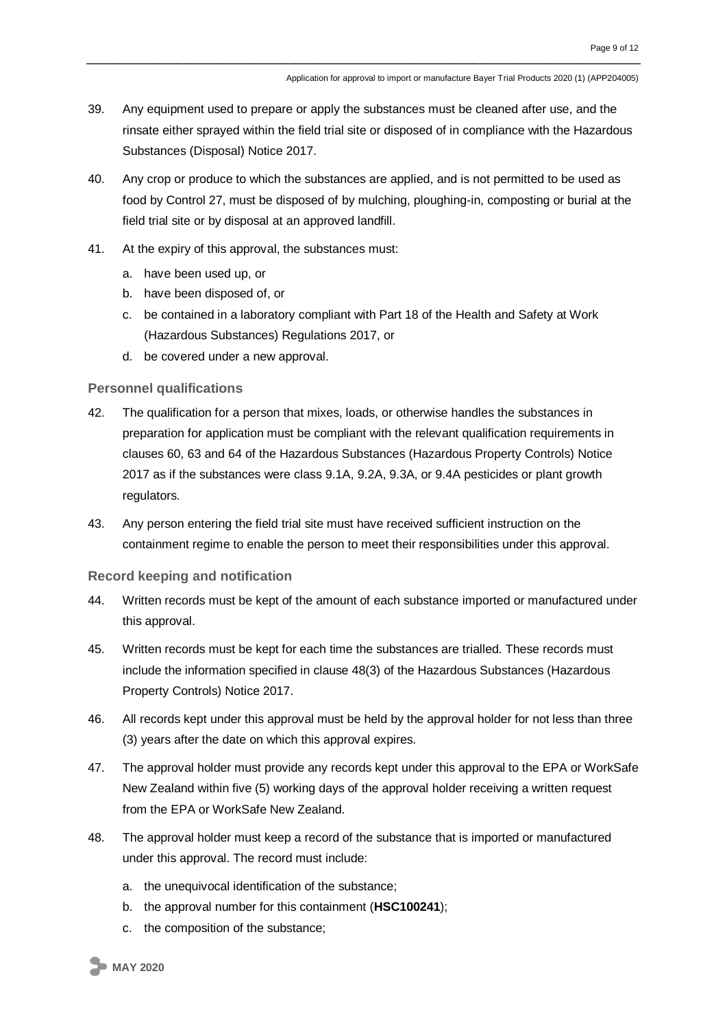- 39. Any equipment used to prepare or apply the substances must be cleaned after use, and the rinsate either sprayed within the field trial site or disposed of in compliance with the Hazardous Substances (Disposal) Notice 2017.
- 40. Any crop or produce to which the substances are applied, and is not permitted to be used as food by Control 27, must be disposed of by mulching, ploughing-in, composting or burial at the field trial site or by disposal at an approved landfill.
- 41. At the expiry of this approval, the substances must:
	- a. have been used up, or
	- b. have been disposed of, or
	- c. be contained in a laboratory compliant with Part 18 of the Health and Safety at Work (Hazardous Substances) Regulations 2017, or
	- d. be covered under a new approval.

#### **Personnel qualifications**

- 42. The qualification for a person that mixes, loads, or otherwise handles the substances in preparation for application must be compliant with the relevant qualification requirements in clauses 60, 63 and 64 of the Hazardous Substances (Hazardous Property Controls) Notice 2017 as if the substances were class 9.1A, 9.2A, 9.3A, or 9.4A pesticides or plant growth regulators.
- 43. Any person entering the field trial site must have received sufficient instruction on the containment regime to enable the person to meet their responsibilities under this approval.

#### **Record keeping and notification**

- 44. Written records must be kept of the amount of each substance imported or manufactured under this approval.
- 45. Written records must be kept for each time the substances are trialled. These records must include the information specified in clause 48(3) of the Hazardous Substances (Hazardous Property Controls) Notice 2017.
- 46. All records kept under this approval must be held by the approval holder for not less than three (3) years after the date on which this approval expires.
- 47. The approval holder must provide any records kept under this approval to the EPA or WorkSafe New Zealand within five (5) working days of the approval holder receiving a written request from the EPA or WorkSafe New Zealand.
- 48. The approval holder must keep a record of the substance that is imported or manufactured under this approval. The record must include:
	- a. the unequivocal identification of the substance;
	- b. the approval number for this containment (**HSC100241**);
	- c. the composition of the substance;

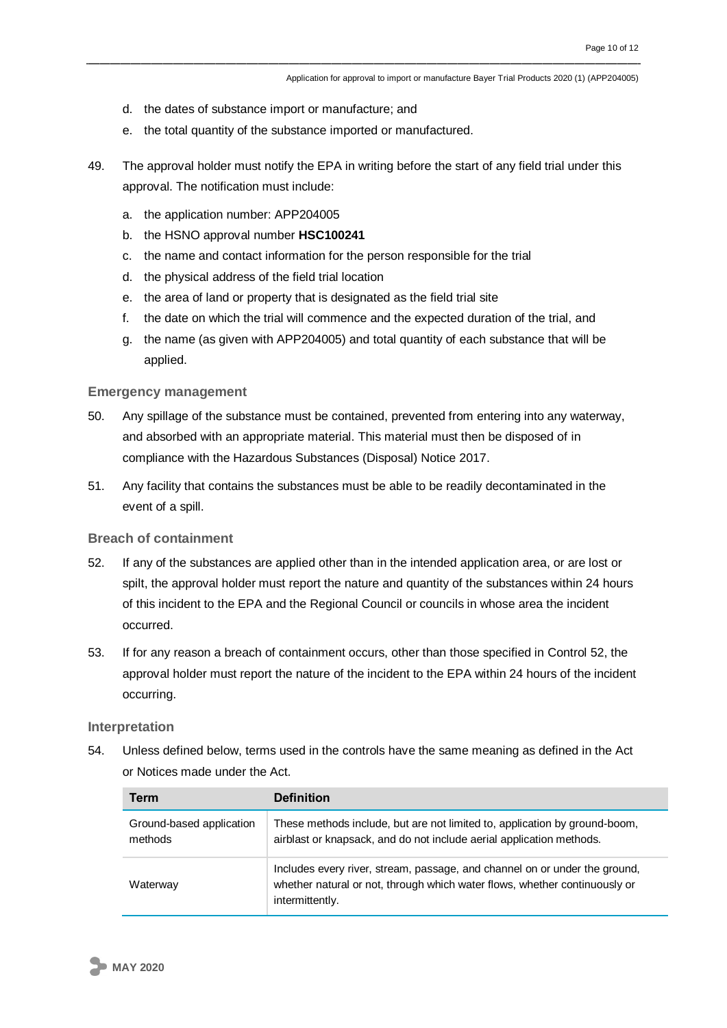- d. the dates of substance import or manufacture; and
- e. the total quantity of the substance imported or manufactured.
- 49. The approval holder must notify the EPA in writing before the start of any field trial under this approval. The notification must include:
	- a. the application number: APP204005
	- b. the HSNO approval number **HSC100241**
	- c. the name and contact information for the person responsible for the trial
	- d. the physical address of the field trial location
	- e. the area of land or property that is designated as the field trial site
	- f. the date on which the trial will commence and the expected duration of the trial, and
	- g. the name (as given with APP204005) and total quantity of each substance that will be applied.

#### **Emergency management**

- 50. Any spillage of the substance must be contained, prevented from entering into any waterway, and absorbed with an appropriate material. This material must then be disposed of in compliance with the Hazardous Substances (Disposal) Notice 2017.
- 51. Any facility that contains the substances must be able to be readily decontaminated in the event of a spill.

#### **Breach of containment**

- 52. If any of the substances are applied other than in the intended application area, or are lost or spilt, the approval holder must report the nature and quantity of the substances within 24 hours of this incident to the EPA and the Regional Council or councils in whose area the incident occurred.
- 53. If for any reason a breach of containment occurs, other than those specified in Control 52, the approval holder must report the nature of the incident to the EPA within 24 hours of the incident occurring.

#### **Interpretation**

54. Unless defined below, terms used in the controls have the same meaning as defined in the Act or Notices made under the Act.

| Term                                | <b>Definition</b>                                                                                                                                                           |
|-------------------------------------|-----------------------------------------------------------------------------------------------------------------------------------------------------------------------------|
| Ground-based application<br>methods | These methods include, but are not limited to, application by ground-boom,<br>airblast or knapsack, and do not include aerial application methods.                          |
| Waterway                            | Includes every river, stream, passage, and channel on or under the ground,<br>whether natural or not, through which water flows, whether continuously or<br>intermittently. |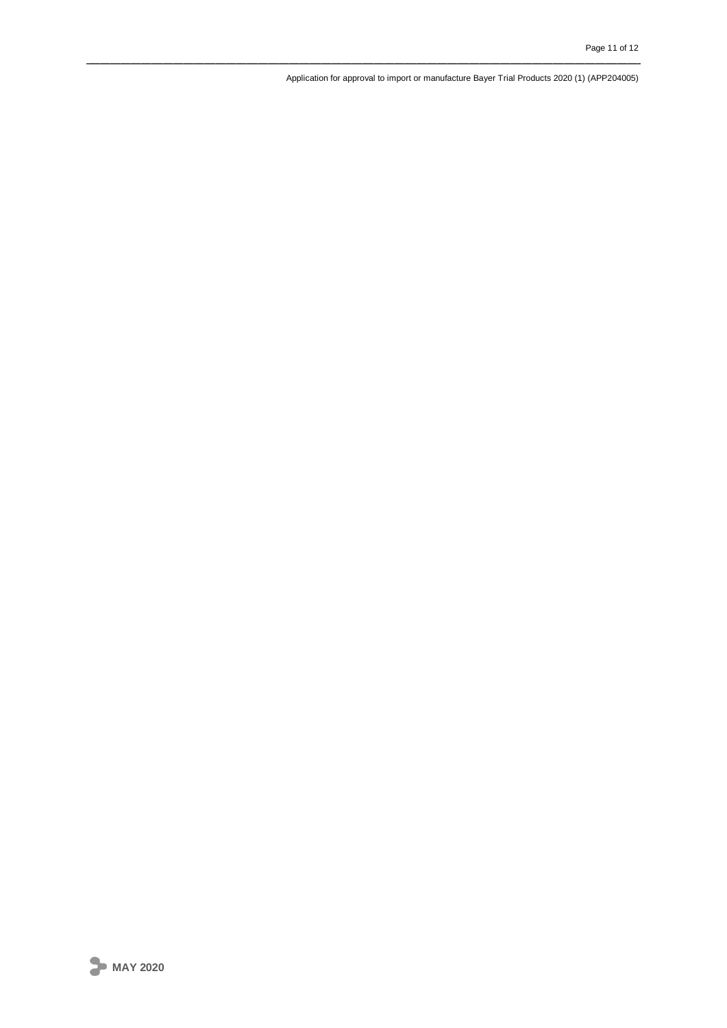Application for approval to import or manufacture Bayer Trial Products 2020 (1) (APP204005)